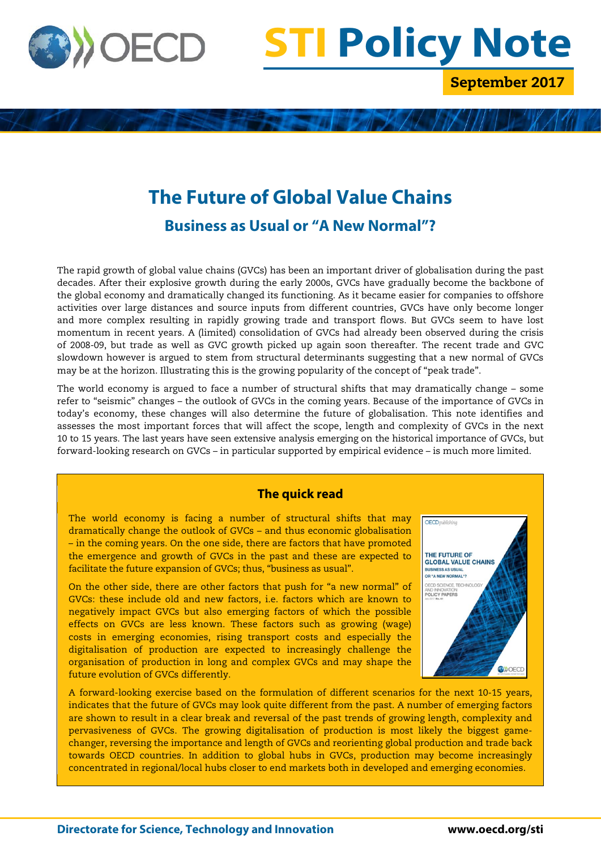

# **STI Policy Note**

September 2017

# **The Future of Global Value Chains Business as Usual or "A New Normal"?**

The rapid growth of global value chains (GVCs) has been an important driver of globalisation during the past decades. After their explosive growth during the early 2000s, GVCs have gradually become the backbone of the global economy and dramatically changed its functioning. As it became easier for companies to offshore activities over large distances and source inputs from different countries, GVCs have only become longer and more complex resulting in rapidly growing trade and transport flows. But GVCs seem to have lost momentum in recent years. A (limited) consolidation of GVCs had already been observed during the crisis of 2008-09, but trade as well as GVC growth picked up again soon thereafter. The recent trade and GVC slowdown however is argued to stem from structural determinants suggesting that a new normal of GVCs may be at the horizon. Illustrating this is the growing popularity of the concept of "peak trade".

The world economy is argued to face a number of structural shifts that may dramatically change – some refer to "seismic" changes – the outlook of GVCs in the coming years. Because of the importance of GVCs in today's economy, these changes will also determine the future of globalisation. This note identifies and assesses the most important forces that will affect the scope, length and complexity of GVCs in the next 10 to 15 years. The last years have seen extensive analysis emerging on the historical importance of GVCs, but forward-looking research on GVCs – in particular supported by empirical evidence – is much more limited.

# **The quick read**

The world economy is facing a number of structural shifts that may dramatically change the outlook of GVCs – and thus economic globalisation – in the coming years. On the one side, there are factors that have promoted the emergence and growth of GVCs in the past and these are expected to facilitate the future expansion of GVCs; thus, "business as usual".

On the other side, there are other factors that push for "a new normal" of GVCs: these include old and new factors, i.e. factors which are known to negatively impact GVCs but also emerging factors of which the possible effects on GVCs are less known. These factors such as growing (wage) costs in emerging economies, rising transport costs and especially the digitalisation of production are expected to increasingly challenge the organisation of production in long and complex GVCs and may shape the future evolution of GVCs differently.



A forward-looking exercise based on the formulation of different scenarios for the next 10-15 years, indicates that the future of GVCs may look quite different from the past. A number of emerging factors are shown to result in a clear break and reversal of the past trends of growing length, complexity and pervasiveness of GVCs. The growing digitalisation of production is most likely the biggest gamechanger, reversing the importance and length of GVCs and reorienting global production and trade back towards OECD countries. In addition to global hubs in GVCs, production may become increasingly concentrated in regional/local hubs closer to end markets both in developed and emerging economies.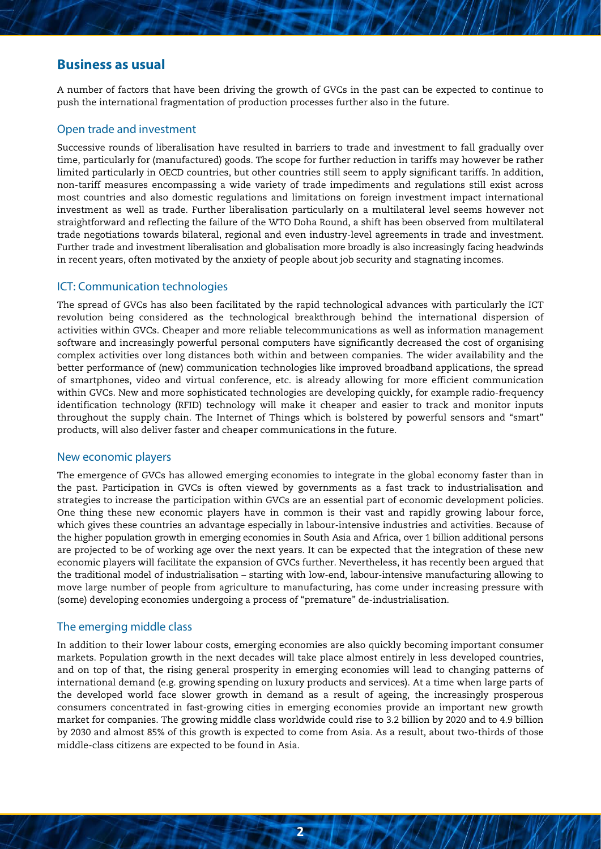## **Business as usual**

A number of factors that have been driving the growth of GVCs in the past can be expected to continue to push the international fragmentation of production processes further also in the future.

#### Open trade and investment

Successive rounds of liberalisation have resulted in barriers to trade and investment to fall gradually over time, particularly for (manufactured) goods. The scope for further reduction in tariffs may however be rather limited particularly in OECD countries, but other countries still seem to apply significant tariffs. In addition, non-tariff measures encompassing a wide variety of trade impediments and regulations still exist across most countries and also domestic regulations and limitations on foreign investment impact international investment as well as trade. Further liberalisation particularly on a multilateral level seems however not straightforward and reflecting the failure of the WTO Doha Round, a shift has been observed from multilateral trade negotiations towards bilateral, regional and even industry-level agreements in trade and investment. Further trade and investment liberalisation and globalisation more broadly is also increasingly facing headwinds in recent years, often motivated by the anxiety of people about job security and stagnating incomes.

#### ICT: Communication technologies

The spread of GVCs has also been facilitated by the rapid technological advances with particularly the ICT revolution being considered as the technological breakthrough behind the international dispersion of activities within GVCs. Cheaper and more reliable telecommunications as well as information management software and increasingly powerful personal computers have significantly decreased the cost of organising complex activities over long distances both within and between companies. The wider availability and the better performance of (new) communication technologies like improved broadband applications, the spread of smartphones, video and virtual conference, etc. is already allowing for more efficient communication within GVCs. New and more sophisticated technologies are developing quickly, for example radio-frequency identification technology (RFID) technology will make it cheaper and easier to track and monitor inputs throughout the supply chain. The Internet of Things which is bolstered by powerful sensors and "smart" products, will also deliver faster and cheaper communications in the future.

#### New economic players

The emergence of GVCs has allowed emerging economies to integrate in the global economy faster than in the past. Participation in GVCs is often viewed by governments as a fast track to industrialisation and strategies to increase the participation within GVCs are an essential part of economic development policies. One thing these new economic players have in common is their vast and rapidly growing labour force, which gives these countries an advantage especially in labour-intensive industries and activities. Because of the higher population growth in emerging economies in South Asia and Africa, over 1 billion additional persons are projected to be of working age over the next years. It can be expected that the integration of these new economic players will facilitate the expansion of GVCs further. Nevertheless, it has recently been argued that the traditional model of industrialisation – starting with low-end, labour-intensive manufacturing allowing to move large number of people from agriculture to manufacturing, has come under increasing pressure with (some) developing economies undergoing a process of "premature" de-industrialisation.

#### The emerging middle class

In addition to their lower labour costs, emerging economies are also quickly becoming important consumer markets. Population growth in the next decades will take place almost entirely in less developed countries, and on top of that, the rising general prosperity in emerging economies will lead to changing patterns of international demand (e.g. growing spending on luxury products and services). At a time when large parts of the developed world face slower growth in demand as a result of ageing, the increasingly prosperous consumers concentrated in fast-growing cities in emerging economies provide an important new growth market for companies. The growing middle class worldwide could rise to 3.2 billion by 2020 and to 4.9 billion by 2030 and almost 85% of this growth is expected to come from Asia. As a result, about two-thirds of those middle-class citizens are expected to be found in Asia.

**2**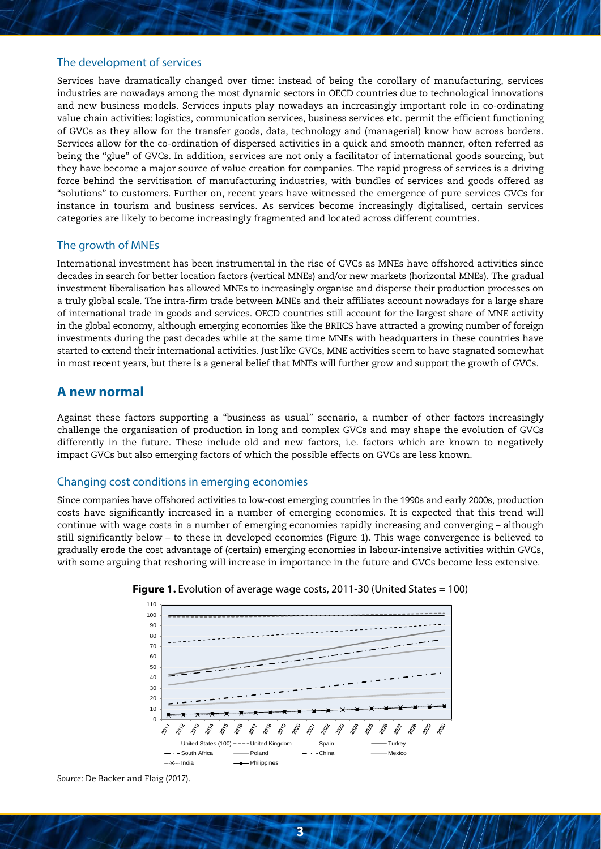#### The development of services

Services have dramatically changed over time: instead of being the corollary of manufacturing, services industries are nowadays among the most dynamic sectors in OECD countries due to technological innovations and new business models. Services inputs play nowadays an increasingly important role in co-ordinating value chain activities: logistics, communication services, business services etc. permit the efficient functioning of GVCs as they allow for the transfer goods, data, technology and (managerial) know how across borders. Services allow for the co-ordination of dispersed activities in a quick and smooth manner, often referred as being the "glue" of GVCs. In addition, services are not only a facilitator of international goods sourcing, but they have become a major source of value creation for companies. The rapid progress of services is a driving force behind the servitisation of manufacturing industries, with bundles of services and goods offered as "solutions" to customers. Further on, recent years have witnessed the emergence of pure services GVCs for instance in tourism and business services. As services become increasingly digitalised, certain services categories are likely to become increasingly fragmented and located across different countries.

#### The growth of MNEs

International investment has been instrumental in the rise of GVCs as MNEs have offshored activities since decades in search for better location factors (vertical MNEs) and/or new markets (horizontal MNEs). The gradual investment liberalisation has allowed MNEs to increasingly organise and disperse their production processes on a truly global scale. The intra-firm trade between MNEs and their affiliates account nowadays for a large share of international trade in goods and services. OECD countries still account for the largest share of MNE activity in the global economy, although emerging economies like the BRIICS have attracted a growing number of foreign investments during the past decades while at the same time MNEs with headquarters in these countries have started to extend their international activities. Just like GVCs, MNE activities seem to have stagnated somewhat in most recent years, but there is a general belief that MNEs will further grow and support the growth of GVCs.

# **A new normal**

Against these factors supporting a "business as usual" scenario, a number of other factors increasingly challenge the organisation of production in long and complex GVCs and may shape the evolution of GVCs differently in the future. These include old and new factors, i.e. factors which are known to negatively impact GVCs but also emerging factors of which the possible effects on GVCs are less known.

#### Changing cost conditions in emerging economies

Since companies have offshored activities to low-cost emerging countries in the 1990s and early 2000s, production costs have significantly increased in a number of emerging economies. It is expected that this trend will continue with wage costs in a number of emerging economies rapidly increasing and converging – although still significantly below – to these in developed economies (Figure 1). This wage convergence is believed to gradually erode the cost advantage of (certain) emerging economies in labour-intensive activities within GVCs, with some arguing that reshoring will increase in importance in the future and GVCs become less extensive.





*Source*: De Backer and Flaig (2017).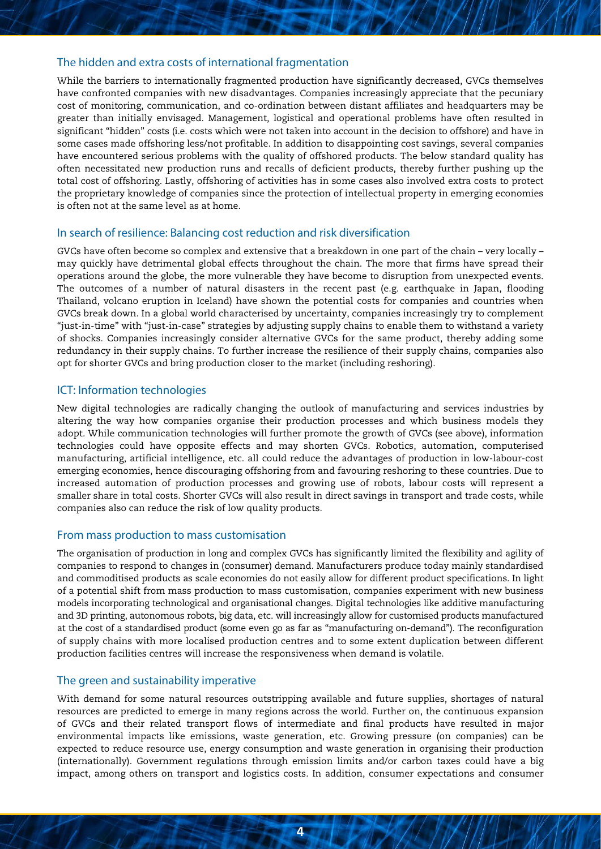#### The hidden and extra costs of international fragmentation

While the barriers to internationally fragmented production have significantly decreased, GVCs themselves have confronted companies with new disadvantages. Companies increasingly appreciate that the pecuniary cost of monitoring, communication, and co-ordination between distant affiliates and headquarters may be greater than initially envisaged. Management, logistical and operational problems have often resulted in significant "hidden" costs (i.e. costs which were not taken into account in the decision to offshore) and have in some cases made offshoring less/not profitable. In addition to disappointing cost savings, several companies have encountered serious problems with the quality of offshored products. The below standard quality has often necessitated new production runs and recalls of deficient products, thereby further pushing up the total cost of offshoring. Lastly, offshoring of activities has in some cases also involved extra costs to protect the proprietary knowledge of companies since the protection of intellectual property in emerging economies is often not at the same level as at home.

#### In search of resilience: Balancing cost reduction and risk diversification

GVCs have often become so complex and extensive that a breakdown in one part of the chain – very locally – may quickly have detrimental global effects throughout the chain. The more that firms have spread their operations around the globe, the more vulnerable they have become to disruption from unexpected events. The outcomes of a number of natural disasters in the recent past (e.g. earthquake in Japan, flooding Thailand, volcano eruption in Iceland) have shown the potential costs for companies and countries when GVCs break down. In a global world characterised by uncertainty, companies increasingly try to complement "just-in-time" with "just-in-case" strategies by adjusting supply chains to enable them to withstand a variety of shocks. Companies increasingly consider alternative GVCs for the same product, thereby adding some redundancy in their supply chains. To further increase the resilience of their supply chains, companies also opt for shorter GVCs and bring production closer to the market (including reshoring).

#### ICT: Information technologies

New digital technologies are radically changing the outlook of manufacturing and services industries by altering the way how companies organise their production processes and which business models they adopt. While communication technologies will further promote the growth of GVCs (see above), information technologies could have opposite effects and may shorten GVCs. Robotics, automation, computerised manufacturing, artificial intelligence, etc. all could reduce the advantages of production in low-labour-cost emerging economies, hence discouraging offshoring from and favouring reshoring to these countries. Due to increased automation of production processes and growing use of robots, labour costs will represent a smaller share in total costs. Shorter GVCs will also result in direct savings in transport and trade costs, while companies also can reduce the risk of low quality products.

#### From mass production to mass customisation

The organisation of production in long and complex GVCs has significantly limited the flexibility and agility of companies to respond to changes in (consumer) demand. Manufacturers produce today mainly standardised and commoditised products as scale economies do not easily allow for different product specifications. In light of a potential shift from mass production to mass customisation, companies experiment with new business models incorporating technological and organisational changes. Digital technologies like additive manufacturing and 3D printing, autonomous robots, big data, etc. will increasingly allow for customised products manufactured at the cost of a standardised product (some even go as far as "manufacturing on-demand"). The reconfiguration of supply chains with more localised production centres and to some extent duplication between different production facilities centres will increase the responsiveness when demand is volatile.

#### The green and sustainability imperative

With demand for some natural resources outstripping available and future supplies, shortages of natural resources are predicted to emerge in many regions across the world. Further on, the continuous expansion of GVCs and their related transport flows of intermediate and final products have resulted in major environmental impacts like emissions, waste generation, etc. Growing pressure (on companies) can be expected to reduce resource use, energy consumption and waste generation in organising their production (internationally). Government regulations through emission limits and/or carbon taxes could have a big impact, among others on transport and logistics costs. In addition, consumer expectations and consumer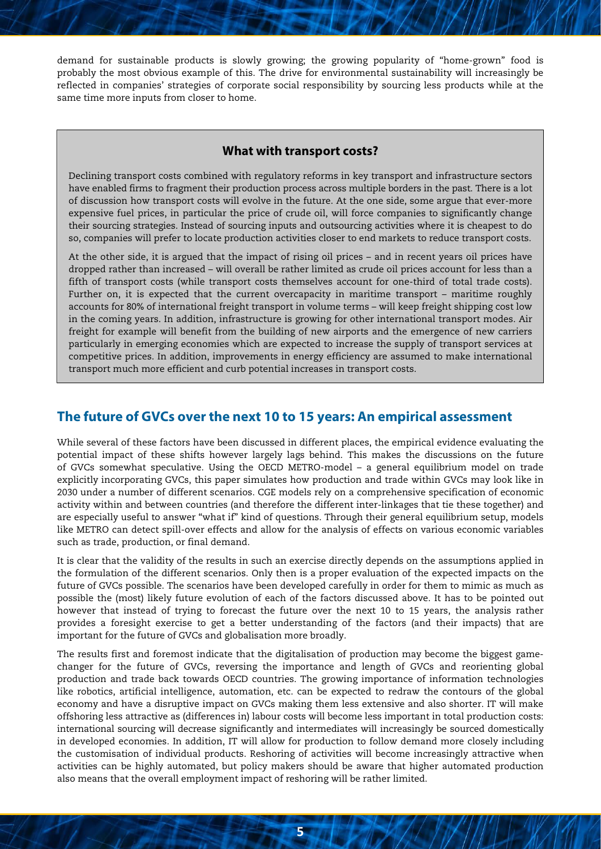demand for sustainable products is slowly growing; the growing popularity of "home-grown" food is probably the most obvious example of this. The drive for environmental sustainability will increasingly be reflected in companies' strategies of corporate social responsibility by sourcing less products while at the same time more inputs from closer to home.

#### **What with transport costs?**

Declining transport costs combined with regulatory reforms in key transport and infrastructure sectors have enabled firms to fragment their production process across multiple borders in the past. There is a lot of discussion how transport costs will evolve in the future. At the one side, some argue that ever-more expensive fuel prices, in particular the price of crude oil, will force companies to significantly change their sourcing strategies. Instead of sourcing inputs and outsourcing activities where it is cheapest to do so, companies will prefer to locate production activities closer to end markets to reduce transport costs.

At the other side, it is argued that the impact of rising oil prices – and in recent years oil prices have dropped rather than increased – will overall be rather limited as crude oil prices account for less than a fifth of transport costs (while transport costs themselves account for one-third of total trade costs). Further on, it is expected that the current overcapacity in maritime transport – maritime roughly accounts for 80% of international freight transport in volume terms – will keep freight shipping cost low in the coming years. In addition, infrastructure is growing for other international transport modes. Air freight for example will benefit from the building of new airports and the emergence of new carriers particularly in emerging economies which are expected to increase the supply of transport services at competitive prices. In addition, improvements in energy efficiency are assumed to make international transport much more efficient and curb potential increases in transport costs.

### **The future of GVCs over the next 10 to 15 years: An empirical assessment**

While several of these factors have been discussed in different places, the empirical evidence evaluating the potential impact of these shifts however largely lags behind. This makes the discussions on the future of GVCs somewhat speculative. Using the OECD METRO-model – a general equilibrium model on trade explicitly incorporating GVCs, this paper simulates how production and trade within GVCs may look like in 2030 under a number of different scenarios. CGE models rely on a comprehensive specification of economic activity within and between countries (and therefore the different inter-linkages that tie these together) and are especially useful to answer "what if" kind of questions. Through their general equilibrium setup, models like METRO can detect spill-over effects and allow for the analysis of effects on various economic variables such as trade, production, or final demand.

It is clear that the validity of the results in such an exercise directly depends on the assumptions applied in the formulation of the different scenarios. Only then is a proper evaluation of the expected impacts on the future of GVCs possible. The scenarios have been developed carefully in order for them to mimic as much as possible the (most) likely future evolution of each of the factors discussed above. It has to be pointed out however that instead of trying to forecast the future over the next 10 to 15 years, the analysis rather provides a foresight exercise to get a better understanding of the factors (and their impacts) that are important for the future of GVCs and globalisation more broadly.

The results first and foremost indicate that the digitalisation of production may become the biggest gamechanger for the future of GVCs, reversing the importance and length of GVCs and reorienting global production and trade back towards OECD countries. The growing importance of information technologies like robotics, artificial intelligence, automation, etc. can be expected to redraw the contours of the global economy and have a disruptive impact on GVCs making them less extensive and also shorter. IT will make offshoring less attractive as (differences in) labour costs will become less important in total production costs: international sourcing will decrease significantly and intermediates will increasingly be sourced domestically in developed economies. In addition, IT will allow for production to follow demand more closely including the customisation of individual products. Reshoring of activities will become increasingly attractive when activities can be highly automated, but policy makers should be aware that higher automated production also means that the overall employment impact of reshoring will be rather limited.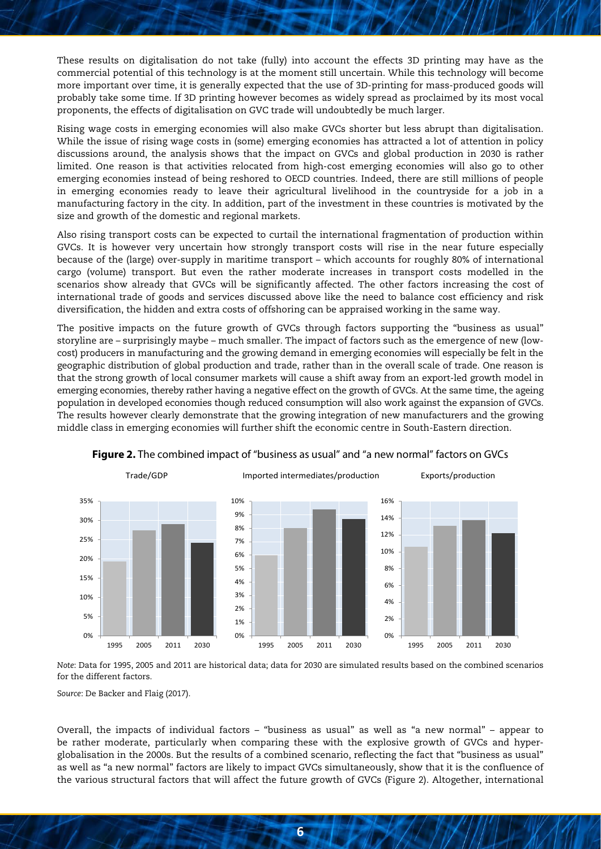These results on digitalisation do not take (fully) into account the effects 3D printing may have as the commercial potential of this technology is at the moment still uncertain. While this technology will become more important over time, it is generally expected that the use of 3D-printing for mass-produced goods will probably take some time. If 3D printing however becomes as widely spread as proclaimed by its most vocal proponents, the effects of digitalisation on GVC trade will undoubtedly be much larger.

Rising wage costs in emerging economies will also make GVCs shorter but less abrupt than digitalisation. While the issue of rising wage costs in (some) emerging economies has attracted a lot of attention in policy discussions around, the analysis shows that the impact on GVCs and global production in 2030 is rather limited. One reason is that activities relocated from high-cost emerging economies will also go to other emerging economies instead of being reshored to OECD countries. Indeed, there are still millions of people in emerging economies ready to leave their agricultural livelihood in the countryside for a job in a manufacturing factory in the city. In addition, part of the investment in these countries is motivated by the size and growth of the domestic and regional markets.

Also rising transport costs can be expected to curtail the international fragmentation of production within GVCs. It is however very uncertain how strongly transport costs will rise in the near future especially because of the (large) over-supply in maritime transport – which accounts for roughly 80% of international cargo (volume) transport. But even the rather moderate increases in transport costs modelled in the scenarios show already that GVCs will be significantly affected. The other factors increasing the cost of international trade of goods and services discussed above like the need to balance cost efficiency and risk diversification, the hidden and extra costs of offshoring can be appraised working in the same way.

The positive impacts on the future growth of GVCs through factors supporting the "business as usual" storyline are – surprisingly maybe – much smaller. The impact of factors such as the emergence of new (lowcost) producers in manufacturing and the growing demand in emerging economies will especially be felt in the geographic distribution of global production and trade, rather than in the overall scale of trade. One reason is that the strong growth of local consumer markets will cause a shift away from an export-led growth model in emerging economies, thereby rather having a negative effect on the growth of GVCs. At the same time, the ageing population in developed economies though reduced consumption will also work against the expansion of GVCs. The results however clearly demonstrate that the growing integration of new manufacturers and the growing middle class in emerging economies will further shift the economic centre in South-Eastern direction.



**Figure 2.** The combined impact of "business as usual" and "a new normal" factors on GVCs

*Note*: Data for 1995, 2005 and 2011 are historical data; data for 2030 are simulated results based on the combined scenarios for the different factors.

*Source*: De Backer and Flaig (2017).

Overall, the impacts of individual factors – "business as usual" as well as "a new normal" – appear to be rather moderate, particularly when comparing these with the explosive growth of GVCs and hyperglobalisation in the 2000s. But the results of a combined scenario, reflecting the fact that "business as usual" as well as "a new normal" factors are likely to impact GVCs simultaneously, show that it is the confluence of the various structural factors that will affect the future growth of GVCs (Figure 2). Altogether, international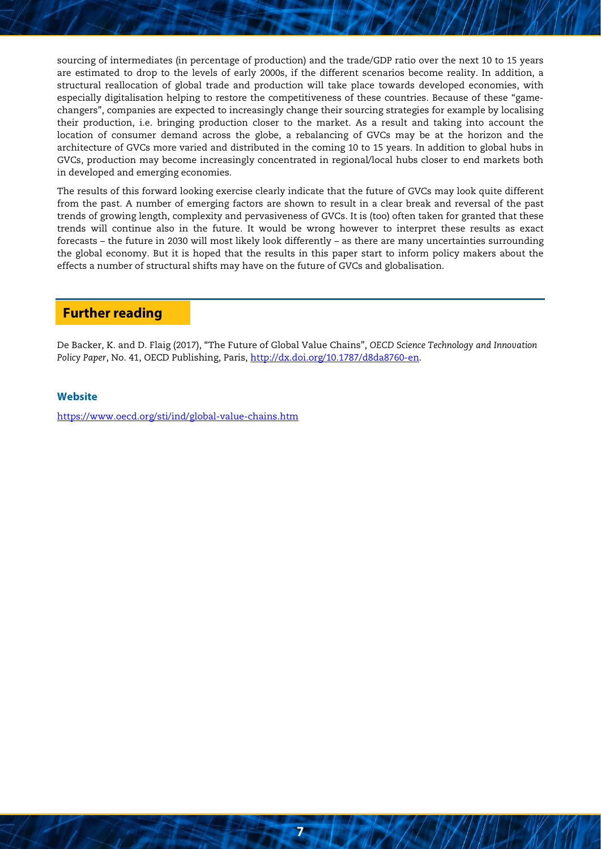sourcing of intermediates (in percentage of production) and the trade/GDP ratio over the next 10 to 15 years are estimated to drop to the levels of early 2000s, if the different scenarios become reality. In addition, a structural reallocation of global trade and production will take place towards developed economies, with especially digitalisation helping to restore the competitiveness of these countries. Because of these "gamechangers", companies are expected to increasingly change their sourcing strategies for example by localising their production, i.e. bringing production closer to the market. As a result and taking into account the location of consumer demand across the globe, a rebalancing of GVCs may be at the horizon and the architecture of GVCs more varied and distributed in the coming 10 to 15 years. In addition to global hubs in GVCs, production may become increasingly concentrated in regional/local hubs closer to end markets both in developed and emerging economies.

The results of this forward looking exercise clearly indicate that the future of GVCs may look quite different from the past. A number of emerging factors are shown to result in a clear break and reversal of the past trends of growing length, complexity and pervasiveness of GVCs. It is (too) often taken for granted that these trends will continue also in the future. It would be wrong however to interpret these results as exact forecasts – the future in 2030 will most likely look differently – as there are many uncertainties surrounding the global economy. But it is hoped that the results in this paper start to inform policy makers about the effects a number of structural shifts may have on the future of GVCs and globalisation.

# **Further reading**

De Backer, K. and D. Flaig (2017), "The Future of Global Value Chains", *OECD Science Technology and Innovation Policy Paper*, No. 41, OECD Publishing, Paris, [http://dx.doi.org/10.1787/d8da8760-en.](http://dx.doi.org/10.1787/d8da8760-en)

**7**

#### **Website**

<https://www.oecd.org/sti/ind/global-value-chains.htm>